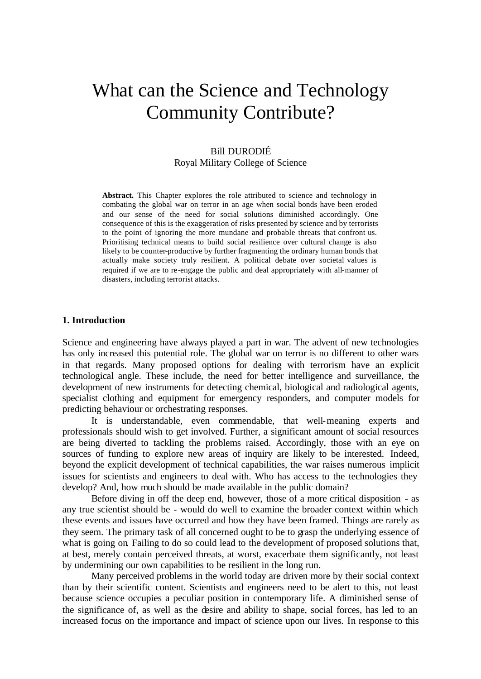# What can the Science and Technology Community Contribute?

## Bill DURODIÉ Royal Military College of Science

**Abstract.** This Chapter explores the role attributed to science and technology in combating the global war on terror in an age when social bonds have been eroded and our sense of the need for social solutions diminished accordingly. One consequence of this is the exaggeration of risks presented by science and by terrorists to the point of ignoring the more mundane and probable threats that confront us. Prioritising technical means to build social resilience over cultural change is also likely to be counter-productive by further fragmenting the ordinary human bonds that actually make society truly resilient. A political debate over societal values is required if we are to re-engage the public and deal appropriately with all-manner of disasters, including terrorist attacks.

#### **1. Introduction**

Science and engineering have always played a part in war. The advent of new technologies has only increased this potential role. The global war on terror is no different to other wars in that regards. Many proposed options for dealing with terrorism have an explicit technological angle. These include, the need for better intelligence and surveillance, the development of new instruments for detecting chemical, biological and radiological agents, specialist clothing and equipment for emergency responders, and computer models for predicting behaviour or orchestrating responses.

It is understandable, even commendable, that well-meaning experts and professionals should wish to get involved. Further, a significant amount of social resources are being diverted to tackling the problems raised. Accordingly, those with an eye on sources of funding to explore new areas of inquiry are likely to be interested. Indeed, beyond the explicit development of technical capabilities, the war raises numerous implicit issues for scientists and engineers to deal with. Who has access to the technologies they develop? And, how much should be made available in the public domain?

Before diving in off the deep end, however, those of a more critical disposition - as any true scientist should be - would do well to examine the broader context within which these events and issues have occurred and how they have been framed. Things are rarely as they seem. The primary task of all concerned ought to be to grasp the underlying essence of what is going on. Failing to do so could lead to the development of proposed solutions that, at best, merely contain perceived threats, at worst, exacerbate them significantly, not least by undermining our own capabilities to be resilient in the long run.

Many perceived problems in the world today are driven more by their social context than by their scientific content. Scientists and engineers need to be alert to this, not least because science occupies a peculiar position in contemporary life. A diminished sense of the significance of, as well as the desire and ability to shape, social forces, has led to an increased focus on the importance and impact of science upon our lives. In response to this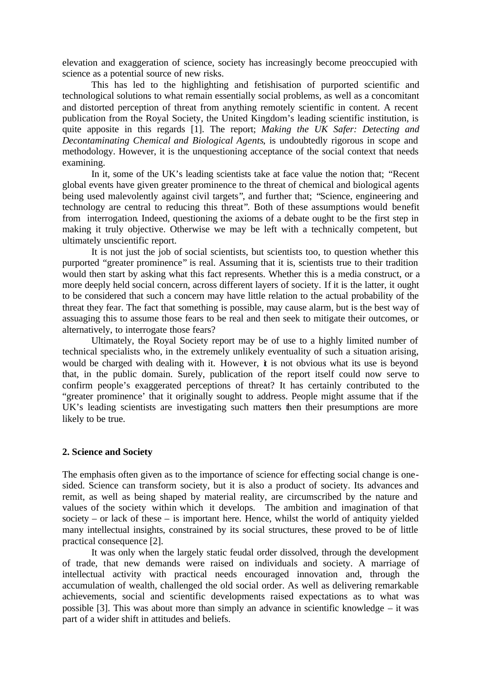elevation and exaggeration of science, society has increasingly become preoccupied with science as a potential source of new risks.

This has led to the highlighting and fetishisation of purported scientific and technological solutions to what remain essentially social problems, as well as a concomitant and distorted perception of threat from anything remotely scientific in content. A recent publication from the Royal Society, the United Kingdom's leading scientific institution, is quite apposite in this regards [1]. The report; *Making the UK Safer: Detecting and Decontaminating Chemical and Biological Agents*, is undoubtedly rigorous in scope and methodology. However, it is the unquestioning acceptance of the social context that needs examining.

In it, some of the UK's leading scientists take at face value the notion that; "Recent global events have given greater prominence to the threat of chemical and biological agents being used malevolently against civil targets", and further that; "Science, engineering and technology are central to reducing this threat". Both of these assumptions would benefit from interrogation. Indeed, questioning the axioms of a debate ought to be the first step in making it truly objective. Otherwise we may be left with a technically competent, but ultimately unscientific report.

It is not just the job of social scientists, but scientists too, to question whether this purported "greater prominence" is real. Assuming that it is, scientists true to their tradition would then start by asking what this fact represents. Whether this is a media construct, or a more deeply held social concern, across different layers of society. If it is the latter, it ought to be considered that such a concern may have little relation to the actual probability of the threat they fear. The fact that something is possible, may cause alarm, but is the best way of assuaging this to assume those fears to be real and then seek to mitigate their outcomes, or alternatively, to interrogate those fears?

Ultimately, the Royal Society report may be of use to a highly limited number of technical specialists who, in the extremely unlikely eventuality of such a situation arising, would be charged with dealing with it. However,  $\dot{\mathbf{t}}$  is not obvious what its use is beyond that, in the public domain. Surely, publication of the report itself could now serve to confirm people's exaggerated perceptions of threat? It has certainly contributed to the "greater prominence' that it originally sought to address. People might assume that if the UK's leading scientists are investigating such matters then their presumptions are more likely to be true.

## **2. Science and Society**

The emphasis often given as to the importance of science for effecting social change is onesided. Science can transform society, but it is also a product of society. Its advances and remit, as well as being shaped by material reality, are circumscribed by the nature and values of the society within which it develops. The ambition and imagination of that society – or lack of these – is important here. Hence, whilst the world of antiquity yielded many intellectual insights, constrained by its social structures, these proved to be of little practical consequence [2].

It was only when the largely static feudal order dissolved, through the development of trade, that new demands were raised on individuals and society. A marriage of intellectual activity with practical needs encouraged innovation and, through the accumulation of wealth, challenged the old social order. As well as delivering remarkable achievements, social and scientific developments raised expectations as to what was possible [3]. This was about more than simply an advance in scientific knowledge – it was part of a wider shift in attitudes and beliefs.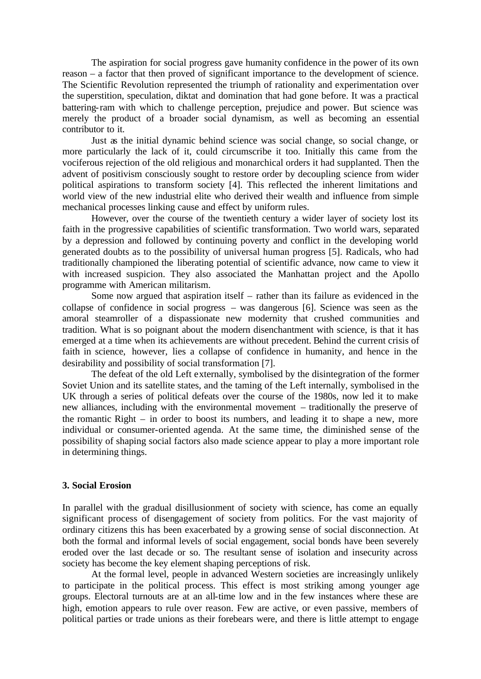The aspiration for social progress gave humanity confidence in the power of its own reason – a factor that then proved of significant importance to the development of science. The Scientific Revolution represented the triumph of rationality and experimentation over the superstition, speculation, diktat and domination that had gone before. It was a practical battering-ram with which to challenge perception, prejudice and power. But science was merely the product of a broader social dynamism, as well as becoming an essential contributor to it.

Just as the initial dynamic behind science was social change, so social change, or more particularly the lack of it, could circumscribe it too. Initially this came from the vociferous rejection of the old religious and monarchical orders it had supplanted. Then the advent of positivism consciously sought to restore order by decoupling science from wider political aspirations to transform society [4]. This reflected the inherent limitations and world view of the new industrial elite who derived their wealth and influence from simple mechanical processes linking cause and effect by uniform rules.

However, over the course of the twentieth century a wider layer of society lost its faith in the progressive capabilities of scientific transformation. Two world wars, separated by a depression and followed by continuing poverty and conflict in the developing world generated doubts as to the possibility of universal human progress [5]. Radicals, who had traditionally championed the liberating potential of scientific advance, now came to view it with increased suspicion. They also associated the Manhattan project and the Apollo programme with American militarism.

Some now argued that aspiration itself – rather than its failure as evidenced in the collapse of confidence in social progress – was dangerous [6]. Science was seen as the amoral steamroller of a dispassionate new modernity that crushed communities and tradition. What is so poignant about the modern disenchantment with science, is that it has emerged at a time when its achievements are without precedent. Behind the current crisis of faith in science, however, lies a collapse of confidence in humanity, and hence in the desirability and possibility of social transformation [7].

The defeat of the old Left externally, symbolised by the disintegration of the former Soviet Union and its satellite states, and the taming of the Left internally, symbolised in the UK through a series of political defeats over the course of the 1980s, now led it to make new alliances, including with the environmental movement – traditionally the preserve of the romantic Right – in order to boost its numbers, and leading it to shape a new, more individual or consumer-oriented agenda. At the same time, the diminished sense of the possibility of shaping social factors also made science appear to play a more important role in determining things.

## **3. Social Erosion**

In parallel with the gradual disillusionment of society with science, has come an equally significant process of disengagement of society from politics. For the vast majority of ordinary citizens this has been exacerbated by a growing sense of social disconnection. At both the formal and informal levels of social engagement, social bonds have been severely eroded over the last decade or so. The resultant sense of isolation and insecurity across society has become the key element shaping perceptions of risk.

At the formal level, people in advanced Western societies are increasingly unlikely to participate in the political process. This effect is most striking among younger age groups. Electoral turnouts are at an all-time low and in the few instances where these are high, emotion appears to rule over reason. Few are active, or even passive, members of political parties or trade unions as their forebears were, and there is little attempt to engage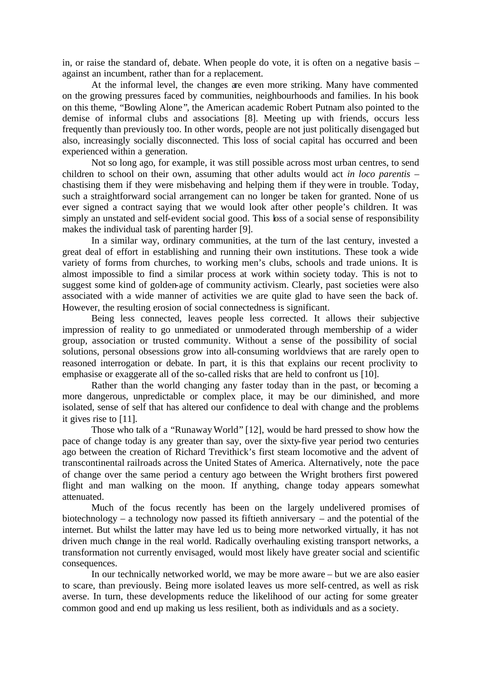in, or raise the standard of, debate. When people do vote, it is often on a negative basis – against an incumbent, rather than for a replacement.

At the informal level, the changes are even more striking. Many have commented on the growing pressures faced by communities, neighbourhoods and families. In his book on this theme, "Bowling Alone", the American academic Robert Putnam also pointed to the demise of informal clubs and associations [8]. Meeting up with friends, occurs less frequently than previously too. In other words, people are not just politically disengaged but also, increasingly socially disconnected. This loss of social capital has occurred and been experienced within a generation.

Not so long ago, for example, it was still possible across most urban centres, to send children to school on their own, assuming that other adults would act *in loco parentis* – chastising them if they were misbehaving and helping them if they were in trouble. Today, such a straightforward social arrangement can no longer be taken for granted. None of us ever signed a contract saying that we would look after other people's children. It was simply an unstated and self-evident social good. This loss of a social sense of responsibility makes the individual task of parenting harder [9].

In a similar way, ordinary communities, at the turn of the last century, invested a great deal of effort in establishing and running their own institutions. These took a wide variety of forms from churches, to working men's clubs, schools and trade unions. It is almost impossible to find a similar process at work within society today. This is not to suggest some kind of golden-age of community activism. Clearly, past societies were also associated with a wide manner of activities we are quite glad to have seen the back of. However, the resulting erosion of social connectedness is significant.

Being less connected, leaves people less corrected. It allows their subjective impression of reality to go unmediated or unmoderated through membership of a wider group, association or trusted community. Without a sense of the possibility of social solutions, personal obsessions grow into all-consuming worldviews that are rarely open to reasoned interrogation or debate. In part, it is this that explains our recent proclivity to emphasise or exaggerate all of the so-called risks that are held to confront us [10].

Rather than the world changing any faster today than in the past, or becoming a more dangerous, unpredictable or complex place, it may be our diminished, and more isolated, sense of self that has altered our confidence to deal with change and the problems it gives rise to [11].

Those who talk of a "Runaway World" [12], would be hard pressed to show how the pace of change today is any greater than say, over the sixty-five year period two centuries ago between the creation of Richard Trevithick's first steam locomotive and the advent of transcontinental railroads across the United States of America. Alternatively, note the pace of change over the same period a century ago between the Wright brothers first powered flight and man walking on the moon. If anything, change today appears somewhat attenuated.

Much of the focus recently has been on the largely undelivered promises of biotechnology – a technology now passed its fiftieth anniversary – and the potential of the internet. But whilst the latter may have led us to being more networked virtually, it has not driven much change in the real world. Radically overhauling existing transport networks, a transformation not currently envisaged, would most likely have greater social and scientific consequences.

In our technically networked world, we may be more aware – but we are also easier to scare, than previously. Being more isolated leaves us more self-centred, as well as risk averse. In turn, these developments reduce the likelihood of our acting for some greater common good and end up making us less resilient, both as individuals and as a society.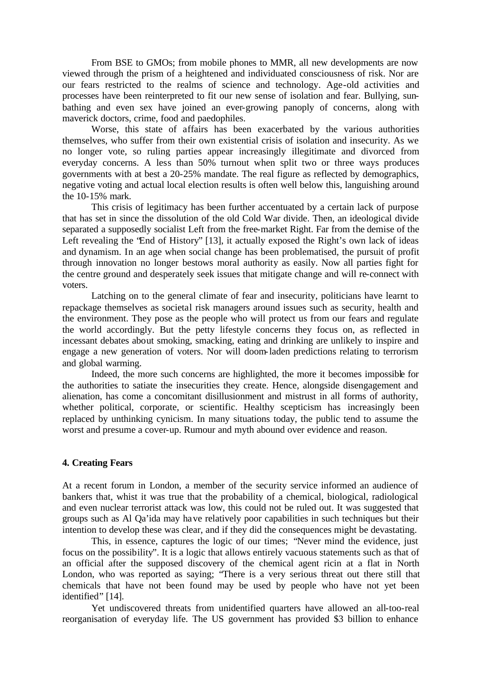From BSE to GMOs; from mobile phones to MMR, all new developments are now viewed through the prism of a heightened and individuated consciousness of risk. Nor are our fears restricted to the realms of science and technology. Age-old activities and processes have been reinterpreted to fit our new sense of isolation and fear. Bullying, sunbathing and even sex have joined an ever-growing panoply of concerns, along with maverick doctors, crime, food and paedophiles.

Worse, this state of affairs has been exacerbated by the various authorities themselves, who suffer from their own existential crisis of isolation and insecurity. As we no longer vote, so ruling parties appear increasingly illegitimate and divorced from everyday concerns. A less than 50% turnout when split two or three ways produces governments with at best a 20-25% mandate. The real figure as reflected by demographics, negative voting and actual local election results is often well below this, languishing around the 10-15% mark.

This crisis of legitimacy has been further accentuated by a certain lack of purpose that has set in since the dissolution of the old Cold War divide. Then, an ideological divide separated a supposedly socialist Left from the free-market Right. Far from the demise of the Left revealing the "End of History" [13], it actually exposed the Right's own lack of ideas and dynamism. In an age when social change has been problematised, the pursuit of profit through innovation no longer bestows moral authority as easily. Now all parties fight for the centre ground and desperately seek issues that mitigate change and will re-connect with voters.

Latching on to the general climate of fear and insecurity, politicians have learnt to repackage themselves as societal risk managers around issues such as security, health and the environment. They pose as the people who will protect us from our fears and regulate the world accordingly. But the petty lifestyle concerns they focus on, as reflected in incessant debates about smoking, smacking, eating and drinking are unlikely to inspire and engage a new generation of voters. Nor will doom-laden predictions relating to terrorism and global warming.

Indeed, the more such concerns are highlighted, the more it becomes impossible for the authorities to satiate the insecurities they create. Hence, alongside disengagement and alienation, has come a concomitant disillusionment and mistrust in all forms of authority, whether political, corporate, or scientific. Healthy scepticism has increasingly been replaced by unthinking cynicism. In many situations today, the public tend to assume the worst and presume a cover-up. Rumour and myth abound over evidence and reason.

## **4. Creating Fears**

At a recent forum in London, a member of the security service informed an audience of bankers that, whist it was true that the probability of a chemical, biological, radiological and even nuclear terrorist attack was low, this could not be ruled out. It was suggested that groups such as Al Qa'ida may have relatively poor capabilities in such techniques but their intention to develop these was clear, and if they did the consequences might be devastating.

This, in essence, captures the logic of our times; "Never mind the evidence, just focus on the possibility". It is a logic that allows entirely vacuous statements such as that of an official after the supposed discovery of the chemical agent ricin at a flat in North London, who was reported as saying; "There is a very serious threat out there still that chemicals that have not been found may be used by people who have not yet been identified" [14].

Yet undiscovered threats from unidentified quarters have allowed an all-too-real reorganisation of everyday life. The US government has provided \$3 billion to enhance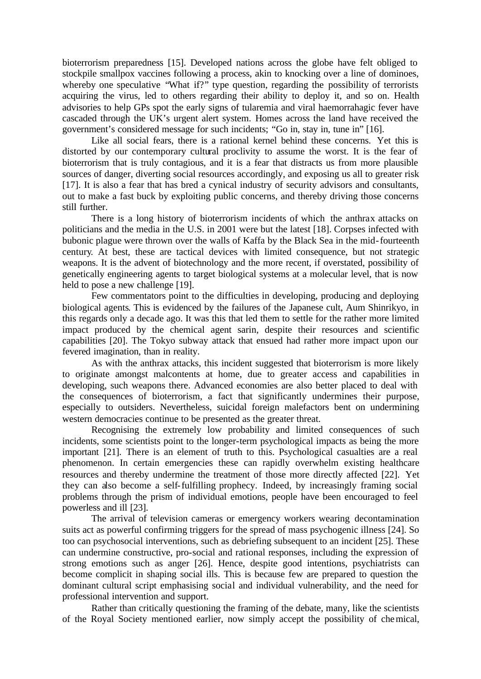bioterrorism preparedness [15]. Developed nations across the globe have felt obliged to stockpile smallpox vaccines following a process, akin to knocking over a line of dominoes, whereby one speculative "What if?" type question, regarding the possibility of terrorists acquiring the virus, led to others regarding their ability to deploy it, and so on. Health advisories to help GPs spot the early signs of tularemia and viral haemorrahagic fever have cascaded through the UK's urgent alert system. Homes across the land have received the government's considered message for such incidents; "Go in, stay in, tune in" [16].

Like all social fears, there is a rational kernel behind these concerns. Yet this is distorted by our contemporary cultural proclivity to assume the worst. It is the fear of bioterrorism that is truly contagious, and it is a fear that distracts us from more plausible sources of danger, diverting social resources accordingly, and exposing us all to greater risk [17]. It is also a fear that has bred a cynical industry of security advisors and consultants, out to make a fast buck by exploiting public concerns, and thereby driving those concerns still further.

There is a long history of bioterrorism incidents of which the anthrax attacks on politicians and the media in the U.S. in 2001 were but the latest [18]. Corpses infected with bubonic plague were thrown over the walls of Kaffa by the Black Sea in the mid-fourteenth century. At best, these are tactical devices with limited consequence, but not strategic weapons. It is the advent of biotechnology and the more recent, if overstated, possibility of genetically engineering agents to target biological systems at a molecular level, that is now held to pose a new challenge [19].

Few commentators point to the difficulties in developing, producing and deploying biological agents. This is evidenced by the failures of the Japanese cult, Aum Shinrikyo, in this regards only a decade ago. It was this that led them to settle for the rather more limited impact produced by the chemical agent sarin, despite their resources and scientific capabilities [20]. The Tokyo subway attack that ensued had rather more impact upon our fevered imagination, than in reality.

As with the anthrax attacks, this incident suggested that bioterrorism is more likely to originate amongst malcontents at home, due to greater access and capabilities in developing, such weapons there. Advanced economies are also better placed to deal with the consequences of bioterrorism, a fact that significantly undermines their purpose, especially to outsiders. Nevertheless, suicidal foreign malefactors bent on undermining western democracies continue to be presented as the greater threat.

Recognising the extremely low probability and limited consequences of such incidents, some scientists point to the longer-term psychological impacts as being the more important [21]. There is an element of truth to this. Psychological casualties are a real phenomenon. In certain emergencies these can rapidly overwhelm existing healthcare resources and thereby undermine the treatment of those more directly affected [22]. Yet they can also become a self-fulfilling prophecy. Indeed, by increasingly framing social problems through the prism of individual emotions, people have been encouraged to feel powerless and ill [23].

The arrival of television cameras or emergency workers wearing decontamination suits act as powerful confirming triggers for the spread of mass psychogenic illness [24]. So too can psychosocial interventions, such as debriefing subsequent to an incident [25]. These can undermine constructive, pro-social and rational responses, including the expression of strong emotions such as anger [26]. Hence, despite good intentions, psychiatrists can become complicit in shaping social ills. This is because few are prepared to question the dominant cultural script emphasising social and individual vulnerability, and the need for professional intervention and support.

Rather than critically questioning the framing of the debate, many, like the scientists of the Royal Society mentioned earlier, now simply accept the possibility of chemical,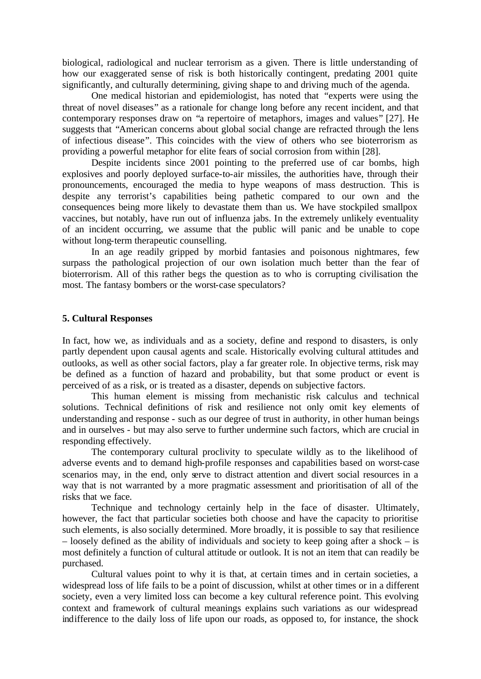biological, radiological and nuclear terrorism as a given. There is little understanding of how our exaggerated sense of risk is both historically contingent, predating 2001 quite significantly, and culturally determining, giving shape to and driving much of the agenda.

One medical historian and epidemiologist, has noted that "experts were using the threat of novel diseases" as a rationale for change long before any recent incident, and that contemporary responses draw on "a repertoire of metaphors, images and values" [27]. He suggests that "American concerns about global social change are refracted through the lens of infectious disease". This coincides with the view of others who see bioterrorism as providing a powerful metaphor for elite fears of social corrosion from within [28].

Despite incidents since 2001 pointing to the preferred use of car bombs, high explosives and poorly deployed surface-to-air missiles, the authorities have, through their pronouncements, encouraged the media to hype weapons of mass destruction. This is despite any terrorist's capabilities being pathetic compared to our own and the consequences being more likely to devastate them than us. We have stockpiled smallpox vaccines, but notably, have run out of influenza jabs. In the extremely unlikely eventuality of an incident occurring, we assume that the public will panic and be unable to cope without long-term therapeutic counselling.

In an age readily gripped by morbid fantasies and poisonous nightmares, few surpass the pathological projection of our own isolation much better than the fear of bioterrorism. All of this rather begs the question as to who is corrupting civilisation the most. The fantasy bombers or the worst-case speculators?

## **5. Cultural Responses**

In fact, how we, as individuals and as a society, define and respond to disasters, is only partly dependent upon causal agents and scale. Historically evolving cultural attitudes and outlooks, as well as other social factors, play a far greater role. In objective terms, risk may be defined as a function of hazard and probability, but that some product or event is perceived of as a risk, or is treated as a disaster, depends on subjective factors.

This human element is missing from mechanistic risk calculus and technical solutions. Technical definitions of risk and resilience not only omit key elements of understanding and response - such as our degree of trust in authority, in other human beings and in ourselves - but may also serve to further undermine such factors, which are crucial in responding effectively.

The contemporary cultural proclivity to speculate wildly as to the likelihood of adverse events and to demand high-profile responses and capabilities based on worst-case scenarios may, in the end, only serve to distract attention and divert social resources in a way that is not warranted by a more pragmatic assessment and prioritisation of all of the risks that we face.

Technique and technology certainly help in the face of disaster. Ultimately, however, the fact that particular societies both choose and have the capacity to prioritise such elements, is also socially determined. More broadly, it is possible to say that resilience – loosely defined as the ability of individuals and society to keep going after a shock – is most definitely a function of cultural attitude or outlook. It is not an item that can readily be purchased.

Cultural values point to why it is that, at certain times and in certain societies, a widespread loss of life fails to be a point of discussion, whilst at other times or in a different society, even a very limited loss can become a key cultural reference point. This evolving context and framework of cultural meanings explains such variations as our widespread indifference to the daily loss of life upon our roads, as opposed to, for instance, the shock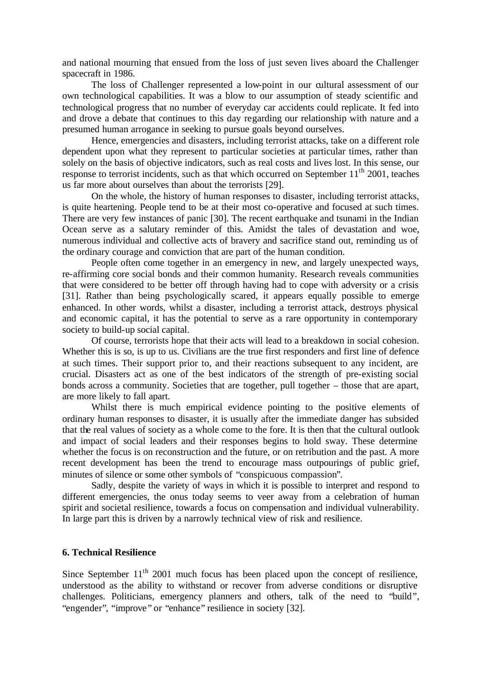and national mourning that ensued from the loss of just seven lives aboard the Challenger spacecraft in 1986.

The loss of Challenger represented a low-point in our cultural assessment of our own technological capabilities. It was a blow to our assumption of steady scientific and technological progress that no number of everyday car accidents could replicate. It fed into and drove a debate that continues to this day regarding our relationship with nature and a presumed human arrogance in seeking to pursue goals beyond ourselves.

Hence, emergencies and disasters, including terrorist attacks, take on a different role dependent upon what they represent to particular societies at particular times, rather than solely on the basis of objective indicators, such as real costs and lives lost. In this sense, our response to terrorist incidents, such as that which occurred on September  $11<sup>th</sup>$  2001, teaches us far more about ourselves than about the terrorists [29].

On the whole, the history of human responses to disaster, including terrorist attacks, is quite heartening. People tend to be at their most co-operative and focused at such times. There are very few instances of panic [30]. The recent earthquake and tsunami in the Indian Ocean serve as a salutary reminder of this. Amidst the tales of devastation and woe, numerous individual and collective acts of bravery and sacrifice stand out, reminding us of the ordinary courage and conviction that are part of the human condition.

People often come together in an emergency in new, and largely unexpected ways, re-affirming core social bonds and their common humanity. Research reveals communities that were considered to be better off through having had to cope with adversity or a crisis [31]. Rather than being psychologically scared, it appears equally possible to emerge enhanced. In other words, whilst a disaster, including a terrorist attack, destroys physical and economic capital, it has the potential to serve as a rare opportunity in contemporary society to build-up social capital.

Of course, terrorists hope that their acts will lead to a breakdown in social cohesion. Whether this is so, is up to us. Civilians are the true first responders and first line of defence at such times. Their support prior to, and their reactions subsequent to any incident, are crucial. Disasters act as one of the best indicators of the strength of pre-existing social bonds across a community. Societies that are together, pull together – those that are apart, are more likely to fall apart.

Whilst there is much empirical evidence pointing to the positive elements of ordinary human responses to disaster, it is usually after the immediate danger has subsided that the real values of society as a whole come to the fore. It is then that the cultural outlook and impact of social leaders and their responses begins to hold sway. These determine whether the focus is on reconstruction and the future, or on retribution and the past. A more recent development has been the trend to encourage mass outpourings of public grief, minutes of silence or some other symbols of "conspicuous compassion".

Sadly, despite the variety of ways in which it is possible to interpret and respond to different emergencies, the onus today seems to veer away from a celebration of human spirit and societal resilience, towards a focus on compensation and individual vulnerability. In large part this is driven by a narrowly technical view of risk and resilience.

## **6. Technical Resilience**

Since September  $11<sup>th</sup>$  2001 much focus has been placed upon the concept of resilience, understood as the ability to withstand or recover from adverse conditions or disruptive challenges. Politicians, emergency planners and others, talk of the need to "build", "engender", "improve" or "enhance" resilience in society [32].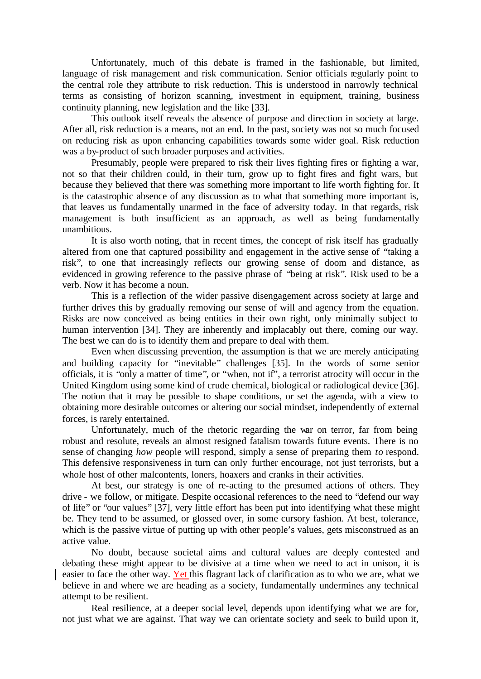Unfortunately, much of this debate is framed in the fashionable, but limited, language of risk management and risk communication. Senior officials regularly point to the central role they attribute to risk reduction. This is understood in narrowly technical terms as consisting of horizon scanning, investment in equipment, training, business continuity planning, new legislation and the like [33].

This outlook itself reveals the absence of purpose and direction in society at large. After all, risk reduction is a means, not an end. In the past, society was not so much focused on reducing risk as upon enhancing capabilities towards some wider goal. Risk reduction was a by-product of such broader purposes and activities.

Presumably, people were prepared to risk their lives fighting fires or fighting a war, not so that their children could, in their turn, grow up to fight fires and fight wars, but because they believed that there was something more important to life worth fighting for. It is the catastrophic absence of any discussion as to what that something more important is, that leaves us fundamentally unarmed in the face of adversity today. In that regards, risk management is both insufficient as an approach, as well as being fundamentally unambitious.

It is also worth noting, that in recent times, the concept of risk itself has gradually altered from one that captured possibility and engagement in the active sense of "taking a risk", to one that increasingly reflects our growing sense of doom and distance, as evidenced in growing reference to the passive phrase of "being at risk". Risk used to be a verb. Now it has become a noun.

This is a reflection of the wider passive disengagement across society at large and further drives this by gradually removing our sense of will and agency from the equation. Risks are now conceived as being entities in their own right, only minimally subject to human intervention [34]. They are inherently and implacably out there, coming our way. The best we can do is to identify them and prepare to deal with them.

Even when discussing prevention, the assumption is that we are merely anticipating and building capacity for "inevitable" challenges [35]. In the words of some senior officials, it is "only a matter of time", or "when, not if", a terrorist atrocity will occur in the United Kingdom using some kind of crude chemical, biological or radiological device [36]. The notion that it may be possible to shape conditions, or set the agenda, with a view to obtaining more desirable outcomes or altering our social mindset, independently of external forces, is rarely entertained.

Unfortunately, much of the rhetoric regarding the war on terror, far from being robust and resolute, reveals an almost resigned fatalism towards future events. There is no sense of changing *how* people will respond, simply a sense of preparing them *to* respond. This defensive responsiveness in turn can only further encourage, not just terrorists, but a whole host of other malcontents, loners, hoaxers and cranks in their activities.

At best, our strategy is one of re-acting to the presumed actions of others. They drive - we follow, or mitigate. Despite occasional references to the need to "defend our way of life" or "our values" [37], very little effort has been put into identifying what these might be. They tend to be assumed, or glossed over, in some cursory fashion. At best, tolerance, which is the passive virtue of putting up with other people's values, gets misconstrued as an active value.

No doubt, because societal aims and cultural values are deeply contested and debating these might appear to be divisive at a time when we need to act in unison, it is easier to face the other way. Yet this flagrant lack of clarification as to who we are, what we believe in and where we are heading as a society, fundamentally undermines any technical attempt to be resilient.

Real resilience, at a deeper social level, depends upon identifying what we are for, not just what we are against. That way we can orientate society and seek to build upon it,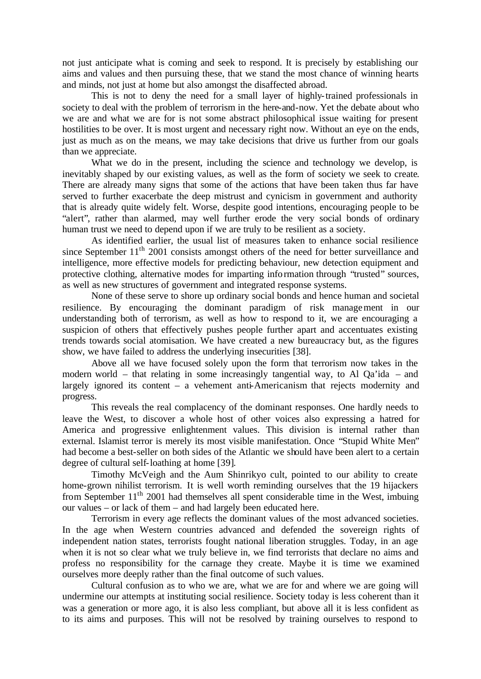not just anticipate what is coming and seek to respond. It is precisely by establishing our aims and values and then pursuing these, that we stand the most chance of winning hearts and minds, not just at home but also amongst the disaffected abroad.

This is not to deny the need for a small layer of highly-trained professionals in society to deal with the problem of terrorism in the here-and-now. Yet the debate about who we are and what we are for is not some abstract philosophical issue waiting for present hostilities to be over. It is most urgent and necessary right now. Without an eye on the ends, just as much as on the means, we may take decisions that drive us further from our goals than we appreciate.

What we do in the present, including the science and technology we develop, is inevitably shaped by our existing values, as well as the form of society we seek to create. There are already many signs that some of the actions that have been taken thus far have served to further exacerbate the deep mistrust and cynicism in government and authority that is already quite widely felt. Worse, despite good intentions, encouraging people to be "alert", rather than alarmed, may well further erode the very social bonds of ordinary human trust we need to depend upon if we are truly to be resilient as a society.

As identified earlier, the usual list of measures taken to enhance social resilience since September  $11<sup>th</sup>$  2001 consists amongst others of the need for better surveillance and intelligence, more effective models for predicting behaviour, new detection equipment and protective clothing, alternative modes for imparting information through "trusted" sources, as well as new structures of government and integrated response systems.

None of these serve to shore up ordinary social bonds and hence human and societal resilience. By encouraging the dominant paradigm of risk management in our understanding both of terrorism, as well as how to respond to it, we are encouraging a suspicion of others that effectively pushes people further apart and accentuates existing trends towards social atomisation. We have created a new bureaucracy but, as the figures show, we have failed to address the underlying insecurities [38].

Above all we have focused solely upon the form that terrorism now takes in the modern world – that relating in some increasingly tangential way, to Al Qa'ida – and largely ignored its content – a vehement anti-Americanism that rejects modernity and progress.

This reveals the real complacency of the dominant responses. One hardly needs to leave the West, to discover a whole host of other voices also expressing a hatred for America and progressive enlightenment values. This division is internal rather than external. Islamist terror is merely its most visible manifestation. Once "Stupid White Men" had become a best-seller on both sides of the Atlantic we should have been alert to a certain degree of cultural self-loathing at home [39].

Timothy McVeigh and the Aum Shinrikyo cult, pointed to our ability to create home-grown nihilist terrorism. It is well worth reminding ourselves that the 19 hijackers from September  $11<sup>th</sup>$  2001 had themselves all spent considerable time in the West, imbuing our values – or lack of them – and had largely been educated here.

Terrorism in every age reflects the dominant values of the most advanced societies. In the age when Western countries advanced and defended the sovereign rights of independent nation states, terrorists fought national liberation struggles. Today, in an age when it is not so clear what we truly believe in, we find terrorists that declare no aims and profess no responsibility for the carnage they create. Maybe it is time we examined ourselves more deeply rather than the final outcome of such values.

Cultural confusion as to who we are, what we are for and where we are going will undermine our attempts at instituting social resilience. Society today is less coherent than it was a generation or more ago, it is also less compliant, but above all it is less confident as to its aims and purposes. This will not be resolved by training ourselves to respond to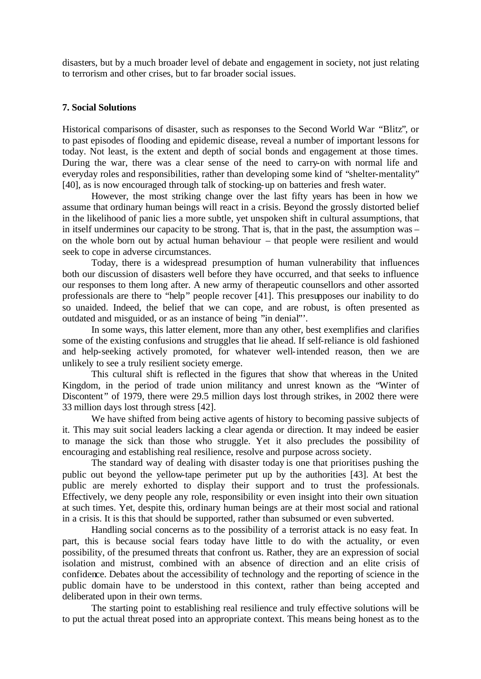disasters, but by a much broader level of debate and engagement in society, not just relating to terrorism and other crises, but to far broader social issues.

### **7. Social Solutions**

Historical comparisons of disaster, such as responses to the Second World War "Blitz", or to past episodes of flooding and epidemic disease, reveal a number of important lessons for today. Not least, is the extent and depth of social bonds and engagement at those times. During the war, there was a clear sense of the need to carry-on with normal life and everyday roles and responsibilities, rather than developing some kind of "shelter-mentality" [40], as is now encouraged through talk of stocking-up on batteries and fresh water.

However, the most striking change over the last fifty years has been in how we assume that ordinary human beings will react in a crisis. Beyond the grossly distorted belief in the likelihood of panic lies a more subtle, yet unspoken shift in cultural assumptions, that in itself undermines our capacity to be strong. That is, that in the past, the assumption was – on the whole born out by actual human behaviour – that people were resilient and would seek to cope in adverse circumstances.

Today, there is a widespread presumption of human vulnerability that influences both our discussion of disasters well before they have occurred, and that seeks to influence our responses to them long after. A new army of therapeutic counsellors and other assorted professionals are there to "help" people recover [41]. This presupposes our inability to do so unaided. Indeed, the belief that we can cope, and are robust, is often presented as outdated and misguided, or as an instance of being "in denial"'.

In some ways, this latter element, more than any other, best exemplifies and clarifies some of the existing confusions and struggles that lie ahead. If self-reliance is old fashioned and help-seeking actively promoted, for whatever well-intended reason, then we are unlikely to see a truly resilient society emerge.

This cultural shift is reflected in the figures that show that whereas in the United Kingdom, in the period of trade union militancy and unrest known as the "Winter of Discontent" of 1979, there were 29.5 million days lost through strikes, in 2002 there were 33 million days lost through stress [42].

We have shifted from being active agents of history to becoming passive subjects of it. This may suit social leaders lacking a clear agenda or direction. It may indeed be easier to manage the sick than those who struggle. Yet it also precludes the possibility of encouraging and establishing real resilience, resolve and purpose across society.

The standard way of dealing with disaster today is one that prioritises pushing the public out beyond the yellow-tape perimeter put up by the authorities [43]. At best the public are merely exhorted to display their support and to trust the professionals. Effectively, we deny people any role, responsibility or even insight into their own situation at such times. Yet, despite this, ordinary human beings are at their most social and rational in a crisis. It is this that should be supported, rather than subsumed or even subverted.

Handling social concerns as to the possibility of a terrorist attack is no easy feat. In part, this is because social fears today have little to do with the actuality, or even possibility, of the presumed threats that confront us. Rather, they are an expression of social isolation and mistrust, combined with an absence of direction and an elite crisis of confidence. Debates about the accessibility of technology and the reporting of science in the public domain have to be understood in this context, rather than being accepted and deliberated upon in their own terms.

The starting point to establishing real resilience and truly effective solutions will be to put the actual threat posed into an appropriate context. This means being honest as to the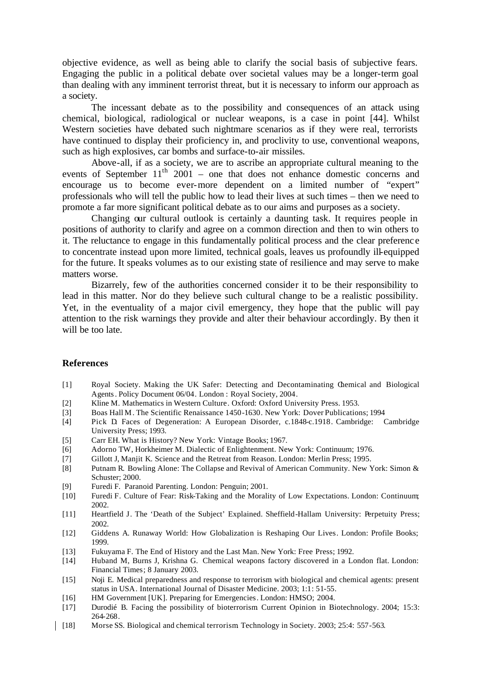objective evidence, as well as being able to clarify the social basis of subjective fears. Engaging the public in a political debate over societal values may be a longer-term goal than dealing with any imminent terrorist threat, but it is necessary to inform our approach as a society.

The incessant debate as to the possibility and consequences of an attack using chemical, biological, radiological or nuclear weapons, is a case in point [44]. Whilst Western societies have debated such nightmare scenarios as if they were real, terrorists have continued to display their proficiency in, and proclivity to use, conventional weapons, such as high explosives, car bombs and surface-to-air missiles.

Above-all, if as a society, we are to ascribe an appropriate cultural meaning to the events of September  $11<sup>th</sup>$  2001 – one that does not enhance domestic concerns and encourage us to become ever-more dependent on a limited number of "expert" professionals who will tell the public how to lead their lives at such times – then we need to promote a far more significant political debate as to our aims and purposes as a society.

Changing our cultural outlook is certainly a daunting task. It requires people in positions of authority to clarify and agree on a common direction and then to win others to it. The reluctance to engage in this fundamentally political process and the clear preferenc e to concentrate instead upon more limited, technical goals, leaves us profoundly ill-equipped for the future. It speaks volumes as to our existing state of resilience and may serve to make matters worse.

Bizarrely, few of the authorities concerned consider it to be their responsibility to lead in this matter. Nor do they believe such cultural change to be a realistic possibility. Yet, in the eventuality of a major civil emergency, they hope that the public will pay attention to the risk warnings they provide and alter their behaviour accordingly. By then it will be too late.

#### **References**

- [1] Royal Society. Making the UK Safer: Detecting and Decontaminating Chemical and Biological Agents. Policy Document 06/04. London : Royal Society, 2004.
- [2] Kline M. Mathematics in Western Culture. Oxford: Oxford University Press. 1953.
- [3] Boas Hall M. The Scientific Renaissance 1450-1630. New York: Dover Publications; 1994
- [4] Pick D. Faces of Degeneration: A European Disorder, c.1848-c.1918. Cambridge: Cambridge University Press; 1993.
- [5] Carr EH. What is History? New York: Vintage Books; 1967.
- [6] Adorno TW, Horkheimer M. Dialectic of Enlightenment. New York: Continuum; 1976.
- [7] Gillott J, Manjit K. Science and the Retreat from Reason. London: Merlin Press; 1995.
- [8] Putnam R. Bowling Alone: The Collapse and Revival of American Community. New York: Simon & Schuster; 2000.
- [9] Furedi F. Paranoid Parenting. London: Penguin; 2001.
- [10] Furedi F. Culture of Fear: Risk-Taking and the Morality of Low Expectations. London: Continuum; 2002.
- [11] Heartfield J. The 'Death of the Subject' Explained. Sheffield-Hallam University: Perpetuity Press; 2002.
- [12] Giddens A. Runaway World: How Globalization is Reshaping Our Lives. London: Profile Books; 1999.
- [13] Fukuyama F. The End of History and the Last Man. New York: Free Press; 1992.
- [14] Huband M, Burns J, Krishna G. Chemical weapons factory discovered in a London flat. London: Financial Times; 8 January 2003.
- [15] Noji E. Medical preparedness and response to terrorism with biological and chemical agents: present status in USA. International Journal of Disaster Medicine. 2003; 1:1: 51-55.
- [16] HM Government [UK]. Preparing for Emergencies. London: HMSO; 2004.
- [17] Durodié B. Facing the possibility of bioterrorism. Current Opinion in Biotechnology. 2004; 15:3: 264-268.
- [18] Morse SS. Biological and chemical terrorism. Technology in Society. 2003; 25:4: 557-563.